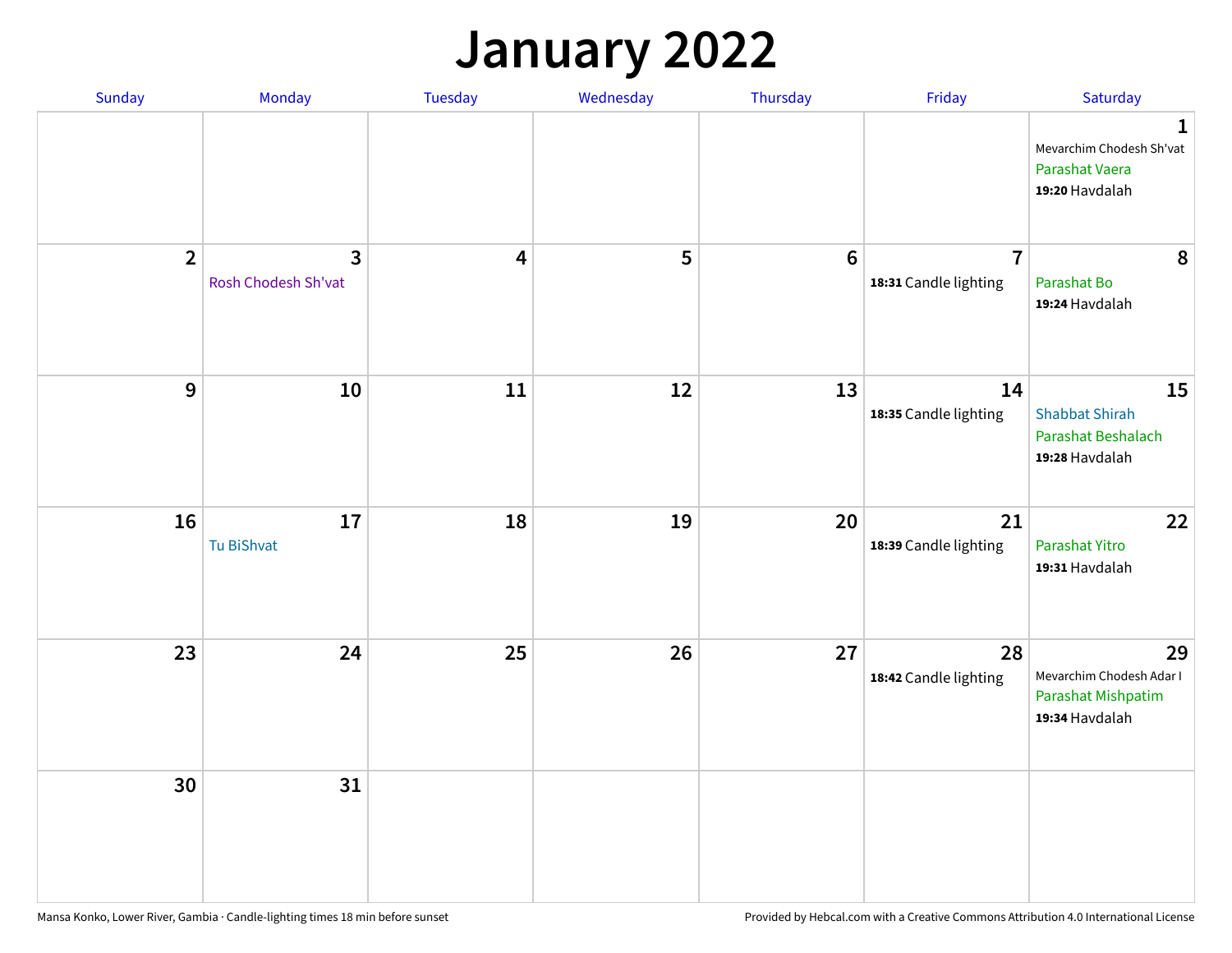## **January 2022**

| Sunday         | Monday                              | Tuesday                 | Wednesday | Thursday        | Friday                                  | Saturday                                                                    |
|----------------|-------------------------------------|-------------------------|-----------|-----------------|-----------------------------------------|-----------------------------------------------------------------------------|
|                |                                     |                         |           |                 |                                         | $\mathbf 1$<br>Mevarchim Chodesh Sh'vat<br>Parashat Vaera<br>19:20 Havdalah |
| $\overline{2}$ | $\mathbf{3}$<br>Rosh Chodesh Sh'vat | $\overline{\mathbf{4}}$ | 5         | $6\phantom{1}6$ | $\overline{7}$<br>18:31 Candle lighting | 8<br>Parashat Bo<br>19:24 Havdalah                                          |
| 9              | 10                                  | 11                      | 12        | 13              | 14<br>18:35 Candle lighting             | 15<br><b>Shabbat Shirah</b><br>Parashat Beshalach<br>19:28 Havdalah         |
| 16             | 17<br>Tu BiShvat                    | 18                      | 19        | 20              | 21<br>18:39 Candle lighting             | 22<br>Parashat Yitro<br>19:31 Havdalah                                      |
| 23             | 24                                  | 25                      | 26        | 27              | 28<br>18:42 Candle lighting             | 29<br>Mevarchim Chodesh Adar I<br>Parashat Mishpatim<br>19:34 Havdalah      |
| 30             | 31                                  |                         |           |                 |                                         |                                                                             |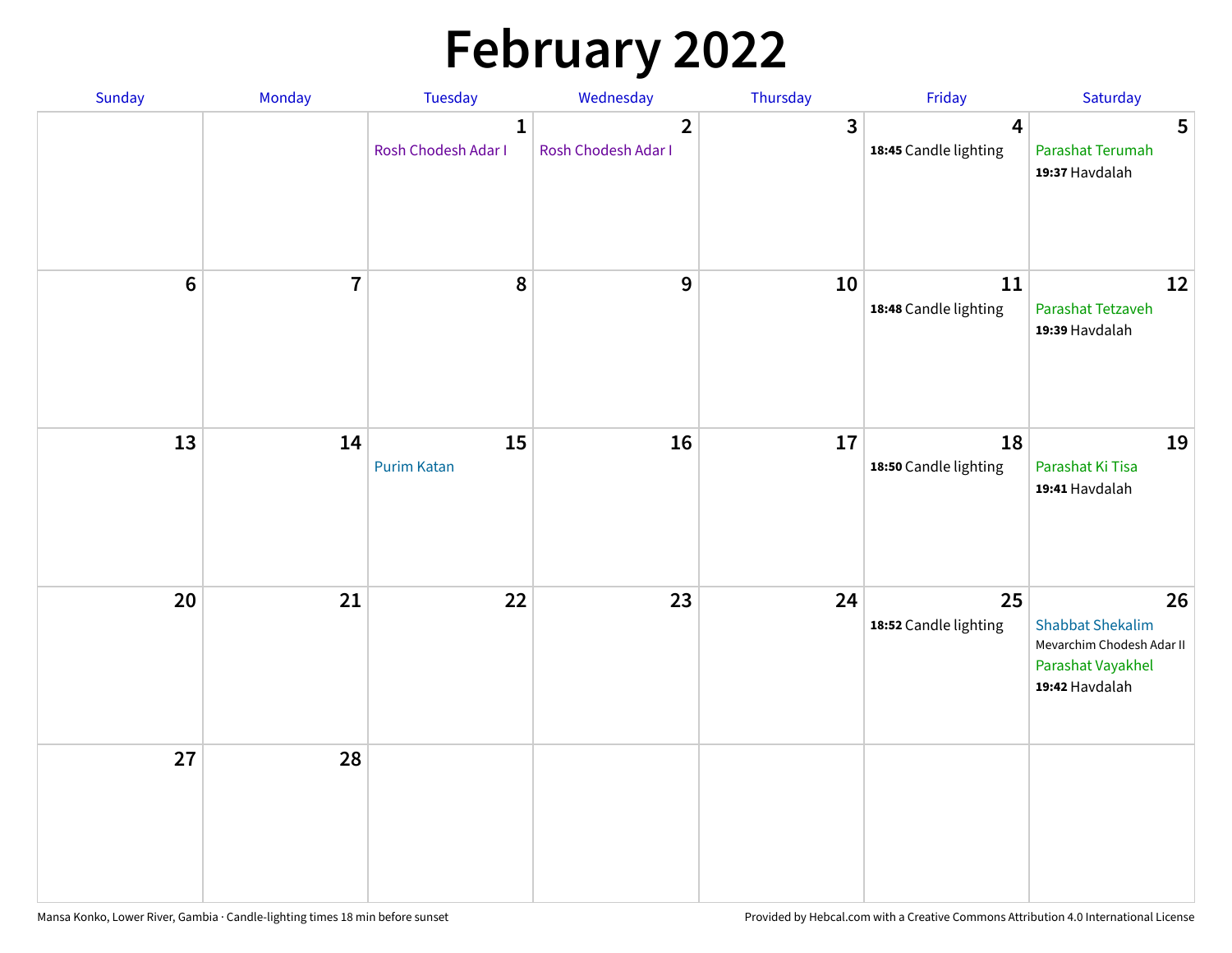# **February 2022**

| Sunday | Monday                  | <b>Tuesday</b>                      | Wednesday                                      | Thursday | Friday                                           | Saturday                                                                                          |
|--------|-------------------------|-------------------------------------|------------------------------------------------|----------|--------------------------------------------------|---------------------------------------------------------------------------------------------------|
|        |                         | $\mathbf{1}$<br>Rosh Chodesh Adar I | $\overline{\mathbf{2}}$<br>Rosh Chodesh Adar I | 3        | $\overline{\mathbf{4}}$<br>18:45 Candle lighting | 5<br>Parashat Terumah<br>19:37 Havdalah                                                           |
| $6\,$  | $\overline{\mathbf{7}}$ | 8                                   | 9                                              | 10       | 11<br>18:48 Candle lighting                      | 12<br>Parashat Tetzaveh<br>19:39 Havdalah                                                         |
| 13     | 14                      | 15<br><b>Purim Katan</b>            | 16                                             | 17       | 18<br>18:50 Candle lighting                      | 19<br>Parashat Ki Tisa<br>19:41 Havdalah                                                          |
| 20     | 21                      | 22                                  | 23                                             | 24       | 25<br>18:52 Candle lighting                      | 26<br><b>Shabbat Shekalim</b><br>Mevarchim Chodesh Adar II<br>Parashat Vayakhel<br>19:42 Havdalah |
| 27     | 28                      |                                     |                                                |          |                                                  |                                                                                                   |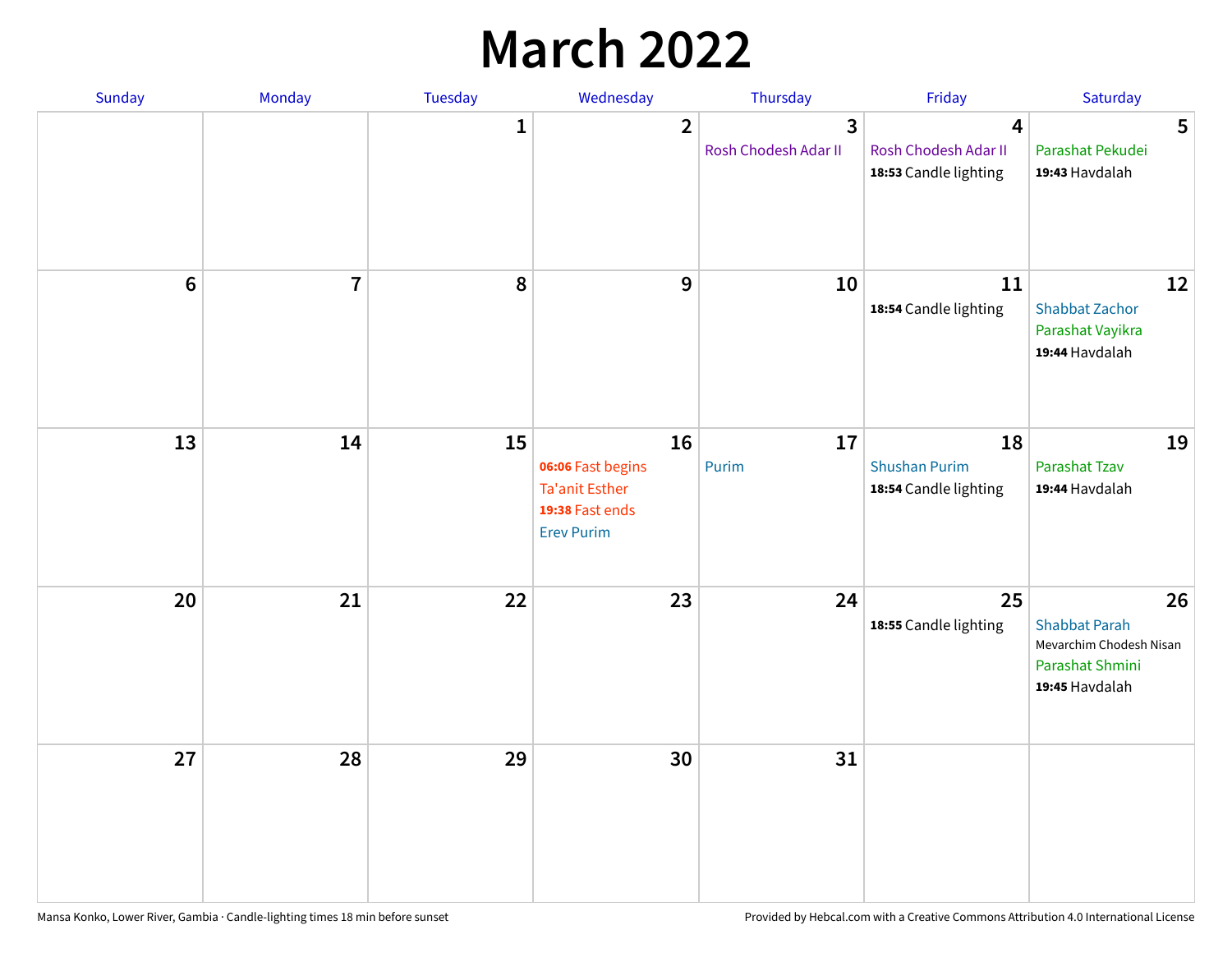## **March 2022**

| Sunday         | Monday         | Tuesday      | Wednesday                                                                                | Thursday                  | Friday                                              | Saturday                                                                                   |
|----------------|----------------|--------------|------------------------------------------------------------------------------------------|---------------------------|-----------------------------------------------------|--------------------------------------------------------------------------------------------|
|                |                | $\mathbf{1}$ | $\overline{2}$                                                                           | 3<br>Rosh Chodesh Adar II | 4<br>Rosh Chodesh Adar II<br>18:53 Candle lighting  | 5<br>Parashat Pekudei<br>19:43 Havdalah                                                    |
| $6\phantom{1}$ | $\overline{7}$ | 8            | $9$                                                                                      | 10                        | 11<br>18:54 Candle lighting                         | 12<br><b>Shabbat Zachor</b><br>Parashat Vayikra<br>19:44 Havdalah                          |
| 13             | 14             | 15           | 16<br>06:06 Fast begins<br><b>Ta'anit Esther</b><br>19:38 Fast ends<br><b>Erev Purim</b> | 17<br>Purim               | 18<br><b>Shushan Purim</b><br>18:54 Candle lighting | 19<br>Parashat Tzav<br>19:44 Havdalah                                                      |
| 20             | 21             | 22           | 23                                                                                       | 24                        | 25<br>18:55 Candle lighting                         | 26<br><b>Shabbat Parah</b><br>Mevarchim Chodesh Nisan<br>Parashat Shmini<br>19:45 Havdalah |
| 27             | 28             | 29           | 30                                                                                       | 31                        |                                                     |                                                                                            |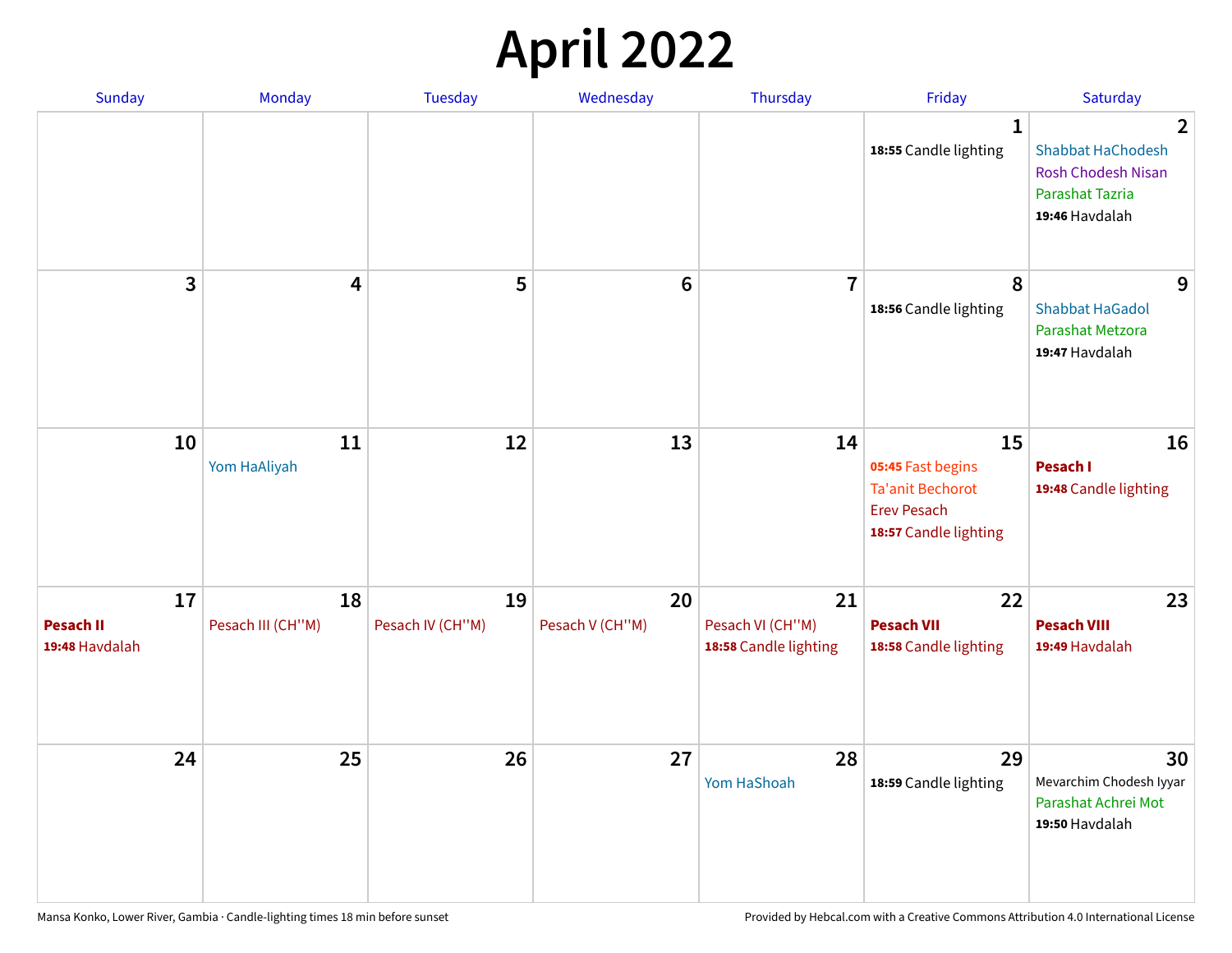## **April 2022**

| Sunday                                   | Monday                  | <b>Tuesday</b>         | Wednesday             | Thursday                                        | Friday                                                                                            | Saturday                                                                                                            |
|------------------------------------------|-------------------------|------------------------|-----------------------|-------------------------------------------------|---------------------------------------------------------------------------------------------------|---------------------------------------------------------------------------------------------------------------------|
|                                          |                         |                        |                       |                                                 | $\mathbf{1}$<br>18:55 Candle lighting                                                             | $\overline{2}$<br><b>Shabbat HaChodesh</b><br><b>Rosh Chodesh Nisan</b><br><b>Parashat Tazria</b><br>19:46 Havdalah |
| 3                                        | $\overline{\mathbf{4}}$ | 5                      | $6\phantom{1}6$       | $\overline{7}$                                  | 8<br>18:56 Candle lighting                                                                        | 9<br><b>Shabbat HaGadol</b><br>Parashat Metzora<br>19:47 Havdalah                                                   |
| 10                                       | 11<br>Yom HaAliyah      | 12                     | 13                    | 14                                              | 15<br>05:45 Fast begins<br><b>Ta'anit Bechorot</b><br><b>Erev Pesach</b><br>18:57 Candle lighting | 16<br>Pesach I<br>19:48 Candle lighting                                                                             |
| 17<br><b>Pesach II</b><br>19:48 Havdalah | 18<br>Pesach III (CH"M) | 19<br>Pesach IV (CH"M) | 20<br>Pesach V (CH"M) | 21<br>Pesach VI (CH"M)<br>18:58 Candle lighting | 22<br><b>Pesach VII</b><br>18:58 Candle lighting                                                  | 23<br><b>Pesach VIII</b><br>19:49 Havdalah                                                                          |
| 24                                       | 25                      | 26                     | 27                    | 28<br>Yom HaShoah                               | 29<br>18:59 Candle lighting                                                                       | 30<br>Mevarchim Chodesh Iyyar<br>Parashat Achrei Mot<br>19:50 Havdalah                                              |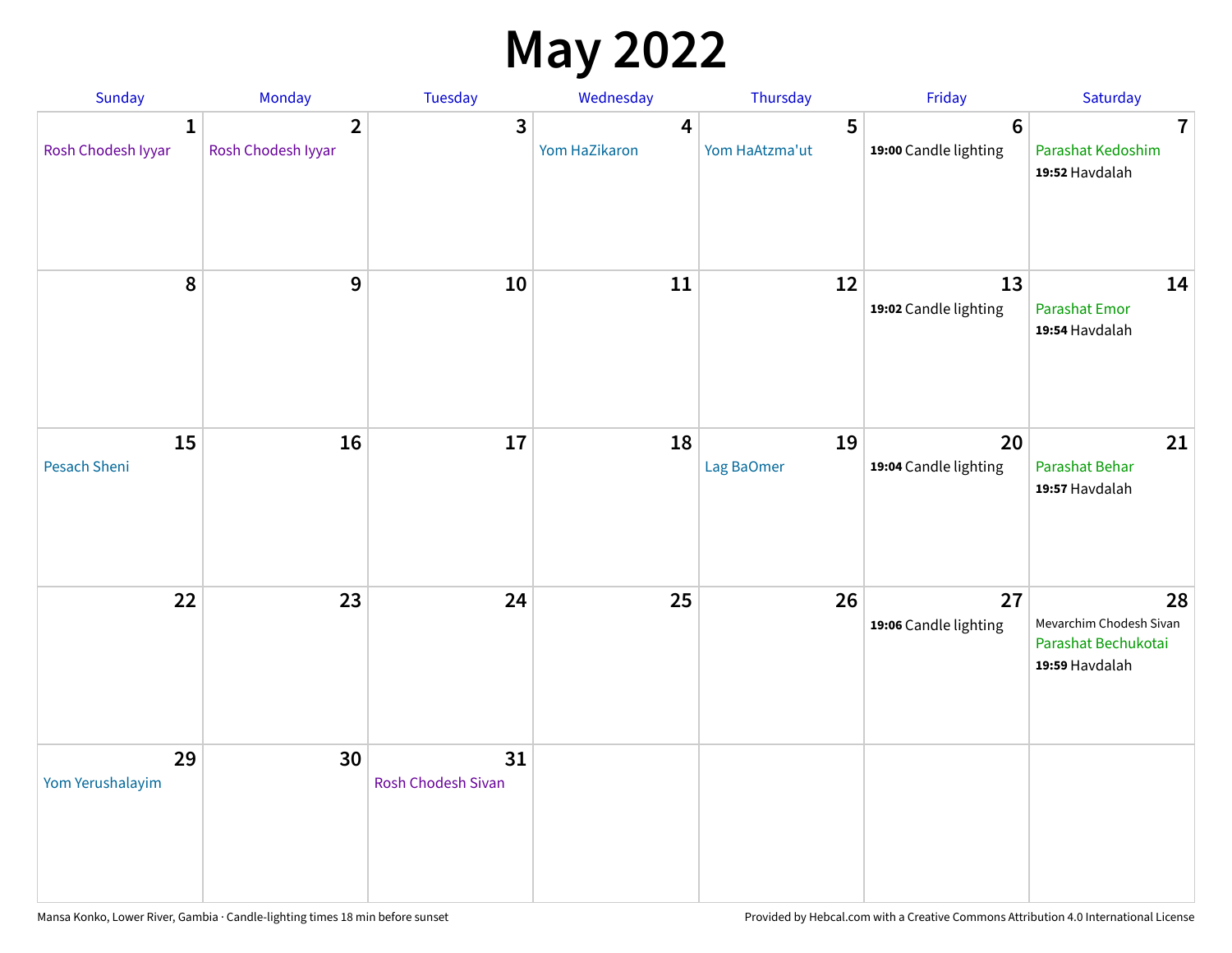## **May 2022**

| Sunday                  | Monday                               | Tuesday                         | Wednesday          | Thursday            | Friday                                  | Saturday                                                               |
|-------------------------|--------------------------------------|---------------------------------|--------------------|---------------------|-----------------------------------------|------------------------------------------------------------------------|
| 1<br>Rosh Chodesh Iyyar | $\overline{2}$<br>Rosh Chodesh Iyyar | 3                               | 4<br>Yom HaZikaron | 5<br>Yom HaAtzma'ut | $6\phantom{1}$<br>19:00 Candle lighting | $\overline{7}$<br>Parashat Kedoshim<br>19:52 Havdalah                  |
| $\pmb{8}$               | $\mathbf{9}$                         | 10                              | 11                 | 12                  | 13<br>19:02 Candle lighting             | 14<br><b>Parashat Emor</b><br>19:54 Havdalah                           |
| 15<br>Pesach Sheni      | 16                                   | 17                              | 18                 | 19<br>Lag BaOmer    | 20<br>19:04 Candle lighting             | 21<br>Parashat Behar<br>19:57 Havdalah                                 |
| 22                      | 23                                   | 24                              | 25                 | 26                  | 27<br>19:06 Candle lighting             | 28<br>Mevarchim Chodesh Sivan<br>Parashat Bechukotai<br>19:59 Havdalah |
| 29<br>Yom Yerushalayim  | 30                                   | 31<br><b>Rosh Chodesh Sivan</b> |                    |                     |                                         |                                                                        |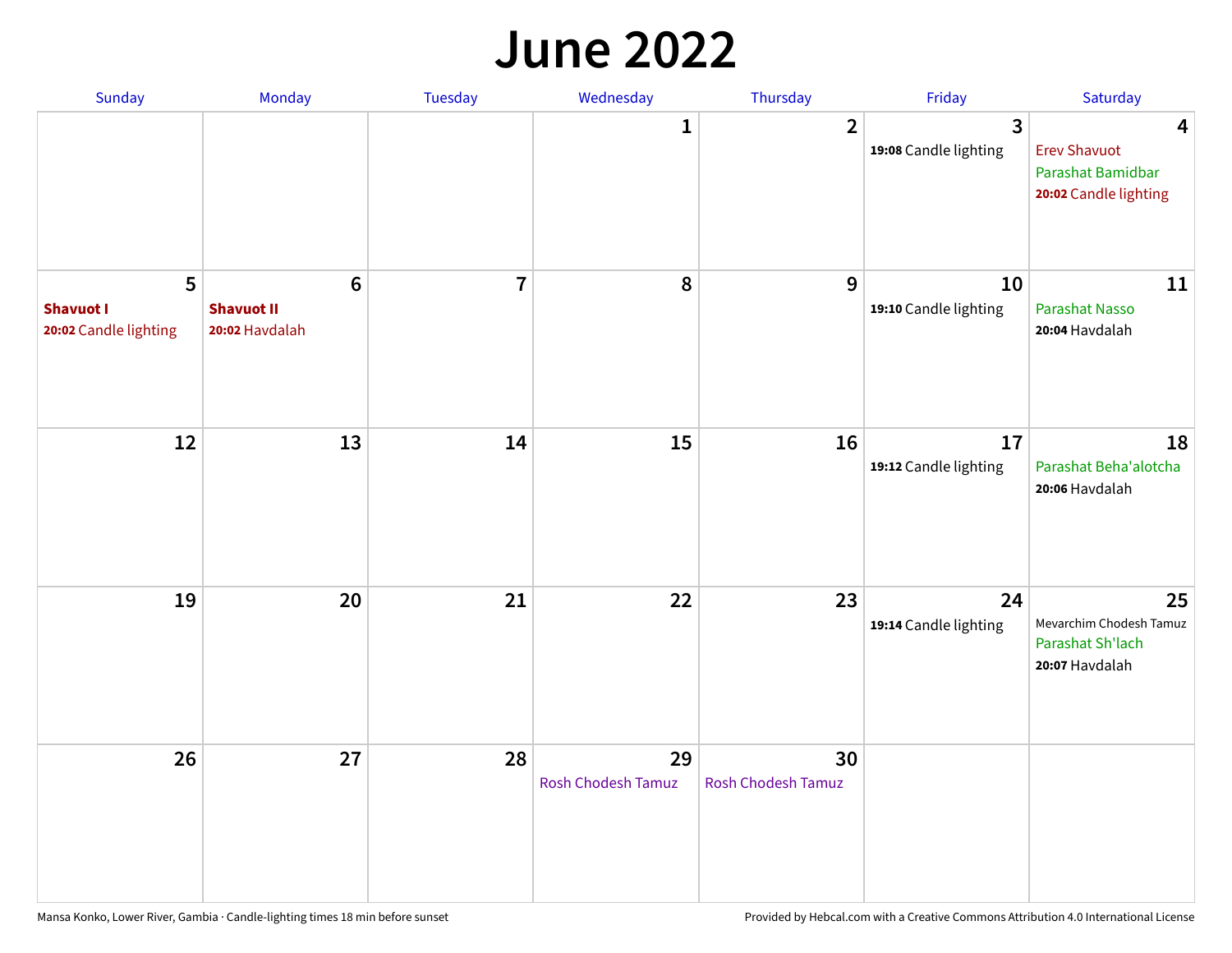#### **June 2022**

| Sunday                                         | Monday                                                | Tuesday        | Wednesday                       | Thursday                        | Friday                      | Saturday                                                               |
|------------------------------------------------|-------------------------------------------------------|----------------|---------------------------------|---------------------------------|-----------------------------|------------------------------------------------------------------------|
|                                                |                                                       |                | 1                               | $\overline{2}$                  | 3<br>19:08 Candle lighting  | 4<br><b>Erev Shavuot</b><br>Parashat Bamidbar<br>20:02 Candle lighting |
| 5<br><b>Shavuot I</b><br>20:02 Candle lighting | $6\phantom{1}$<br><b>Shavuot II</b><br>20:02 Havdalah | $\overline{7}$ | 8                               | 9                               | 10<br>19:10 Candle lighting | 11<br><b>Parashat Nasso</b><br>20:04 Havdalah                          |
| 12                                             | 13                                                    | 14             | 15                              | 16                              | 17<br>19:12 Candle lighting | 18<br>Parashat Beha'alotcha<br>20:06 Havdalah                          |
| 19                                             | 20                                                    | 21             | 22                              | 23                              | 24<br>19:14 Candle lighting | 25<br>Mevarchim Chodesh Tamuz<br>Parashat Sh'lach<br>20:07 Havdalah    |
| 26                                             | 27                                                    | 28             | 29<br><b>Rosh Chodesh Tamuz</b> | 30<br><b>Rosh Chodesh Tamuz</b> |                             |                                                                        |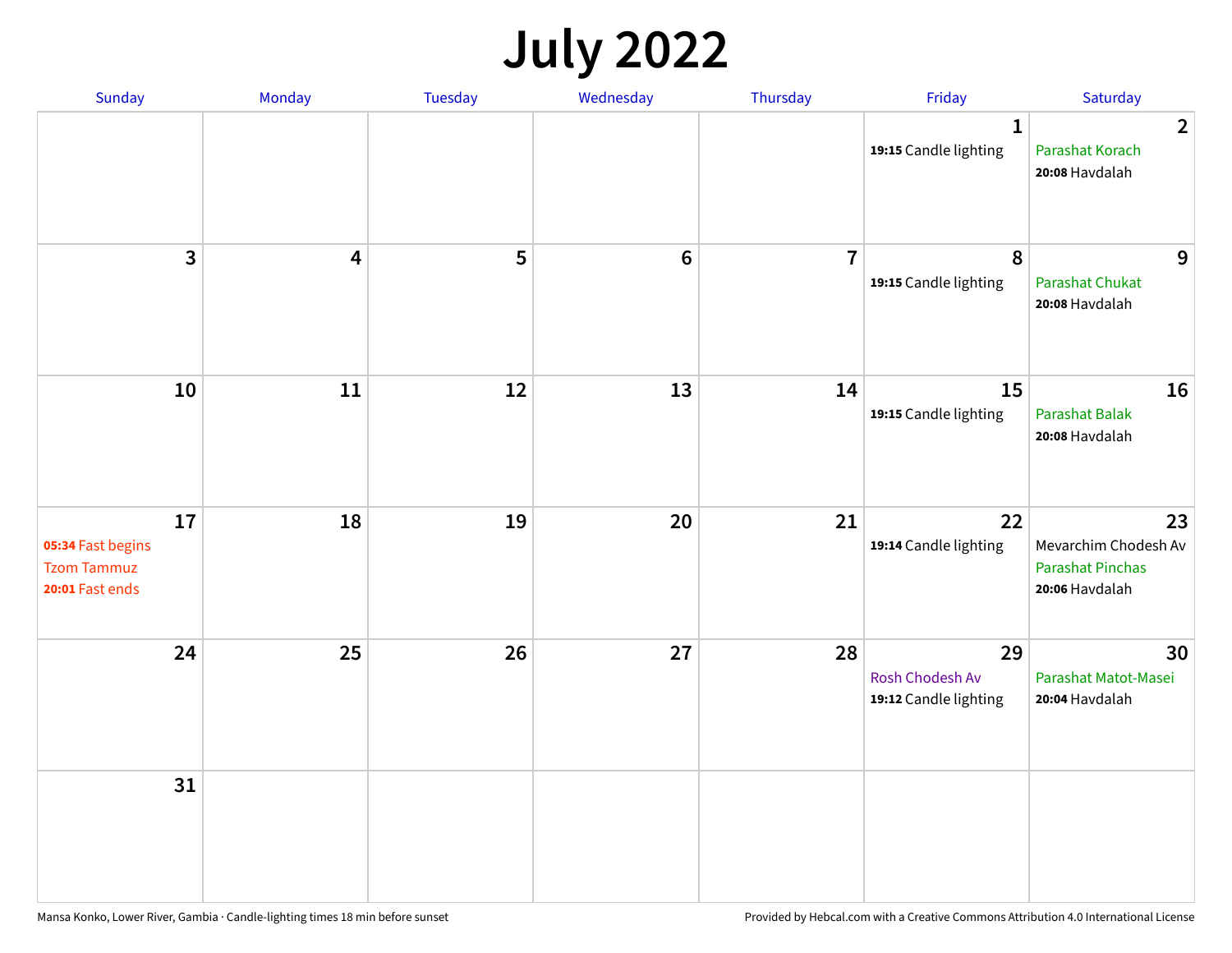## **July 2022**

| Sunday                                                           | Monday                  | Tuesday | Wednesday | Thursday       | Friday                                         | Saturday                                                                |
|------------------------------------------------------------------|-------------------------|---------|-----------|----------------|------------------------------------------------|-------------------------------------------------------------------------|
|                                                                  |                         |         |           |                | $\mathbf{1}$<br>19:15 Candle lighting          | $\overline{2}$<br>Parashat Korach<br>20:08 Havdalah                     |
| $\mathbf{3}$                                                     | $\overline{\mathbf{4}}$ | 5       | $\bf 6$   | $\overline{7}$ | $\pmb{8}$<br>19:15 Candle lighting             | 9<br>Parashat Chukat<br>20:08 Havdalah                                  |
| 10                                                               | 11                      | 12      | 13        | 14             | 15<br>19:15 Candle lighting                    | 16<br><b>Parashat Balak</b><br>20:08 Havdalah                           |
| 17<br>05:34 Fast begins<br><b>Tzom Tammuz</b><br>20:01 Fast ends | 18                      | 19      | 20        | 21             | 22<br>19:14 Candle lighting                    | 23<br>Mevarchim Chodesh Av<br><b>Parashat Pinchas</b><br>20:06 Havdalah |
| 24                                                               | 25                      | 26      | 27        | 28             | 29<br>Rosh Chodesh Av<br>19:12 Candle lighting | 30<br>Parashat Matot-Masei<br>20:04 Havdalah                            |
| 31                                                               |                         |         |           |                |                                                |                                                                         |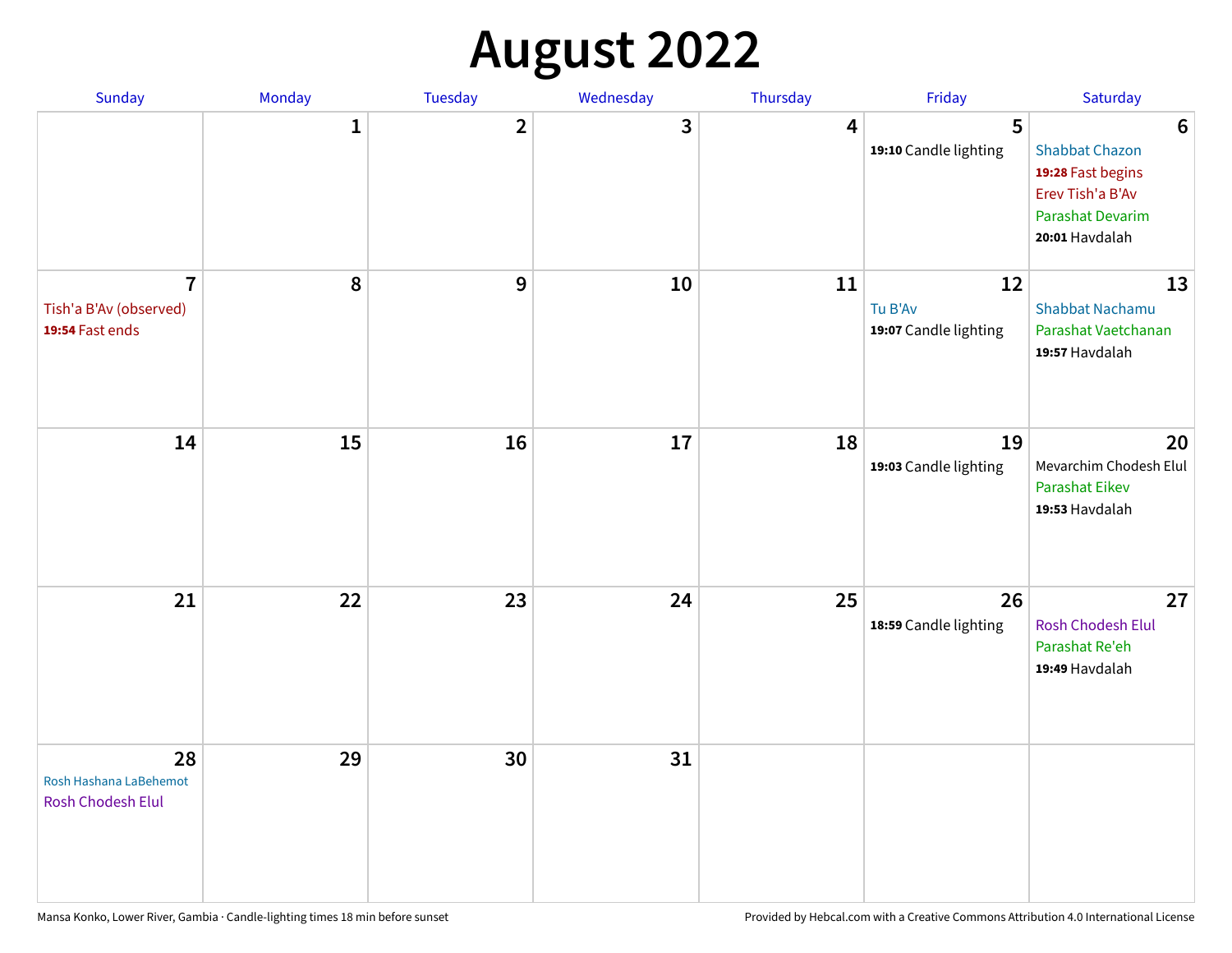## **August 2022**

| Sunday                                                      | Monday       | Tuesday      | Wednesday | Thursday | Friday                                 | Saturday                                                                                                                |
|-------------------------------------------------------------|--------------|--------------|-----------|----------|----------------------------------------|-------------------------------------------------------------------------------------------------------------------------|
|                                                             | $\mathbf{1}$ | $\mathbf{2}$ | 3         | 4        | 5<br>19:10 Candle lighting             | $6\phantom{1}6$<br><b>Shabbat Chazon</b><br>19:28 Fast begins<br>Erev Tish'a B'Av<br>Parashat Devarim<br>20:01 Havdalah |
| $\overline{7}$<br>Tish'a B'Av (observed)<br>19:54 Fast ends | 8            | 9            | 10        | 11       | 12<br>Tu B'Av<br>19:07 Candle lighting | 13<br><b>Shabbat Nachamu</b><br>Parashat Vaetchanan<br>19:57 Havdalah                                                   |
| 14                                                          | 15           | 16           | 17        | 18       | 19<br>19:03 Candle lighting            | 20<br>Mevarchim Chodesh Elul<br>Parashat Eikev<br>19:53 Havdalah                                                        |
| 21                                                          | 22           | 23           | 24        | 25       | 26<br>18:59 Candle lighting            | 27<br>Rosh Chodesh Elul<br>Parashat Re'eh<br>19:49 Havdalah                                                             |
| 28<br>Rosh Hashana LaBehemot<br>Rosh Chodesh Elul           | 29           | 30           | 31        |          |                                        |                                                                                                                         |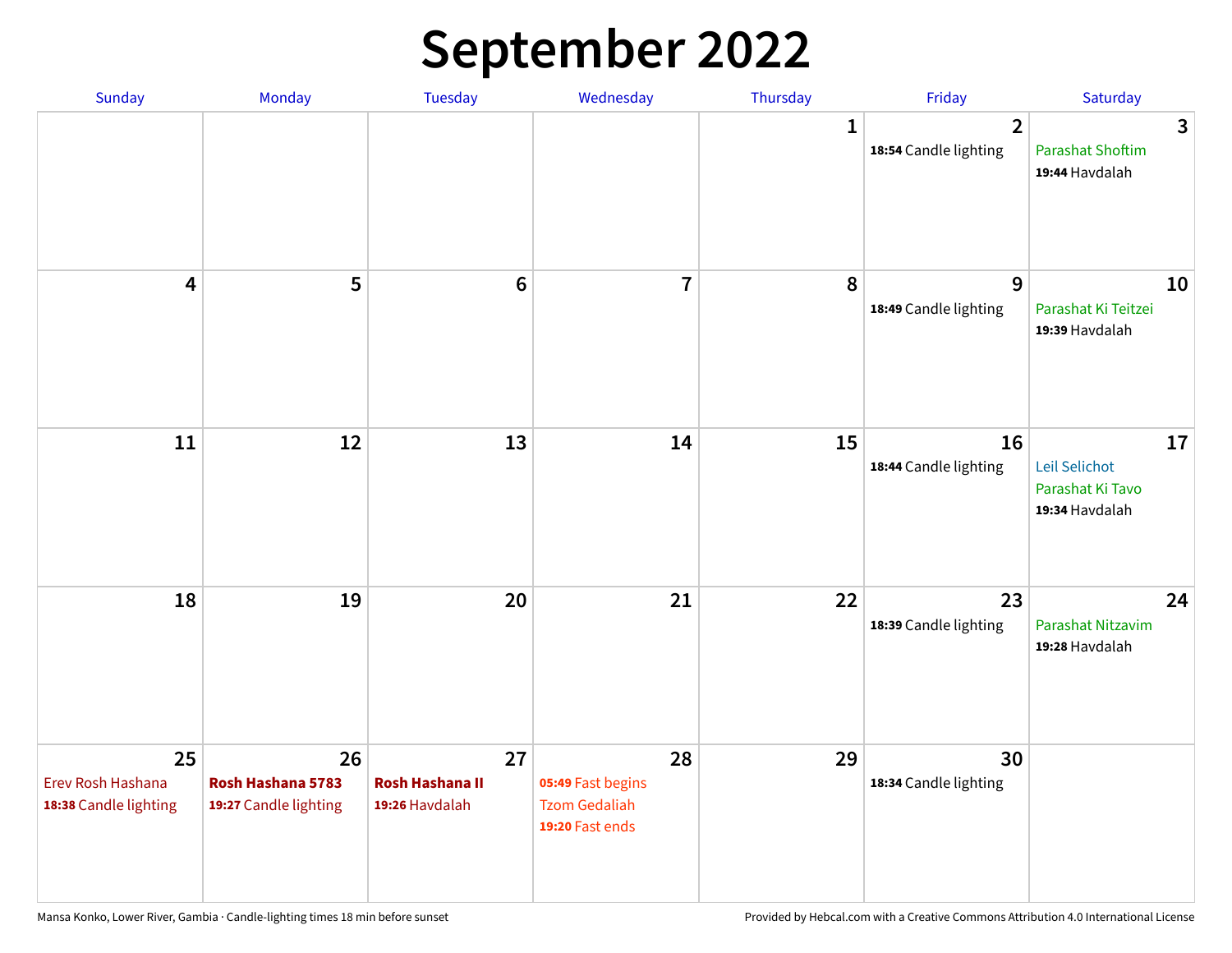## **September 2022**

| Sunday                                           | Monday                                           | Tuesday                                        | Wednesday                                                          | Thursday     | Friday                                  | Saturday                                                  |
|--------------------------------------------------|--------------------------------------------------|------------------------------------------------|--------------------------------------------------------------------|--------------|-----------------------------------------|-----------------------------------------------------------|
|                                                  |                                                  |                                                |                                                                    | $\mathbf{1}$ | $\overline{2}$<br>18:54 Candle lighting | 3<br><b>Parashat Shoftim</b><br>19:44 Havdalah            |
| $\overline{\mathbf{4}}$                          | 5                                                | $6\phantom{1}6$                                | $\overline{7}$                                                     | 8            | 9<br>18:49 Candle lighting              | 10<br>Parashat Ki Teitzei<br>19:39 Havdalah               |
| $11\,$                                           | 12                                               | 13                                             | 14                                                                 | 15           | 16<br>18:44 Candle lighting             | 17<br>Leil Selichot<br>Parashat Ki Tavo<br>19:34 Havdalah |
| 18                                               | 19                                               | 20                                             | 21                                                                 | 22           | 23<br>18:39 Candle lighting             | 24<br>Parashat Nitzavim<br>19:28 Havdalah                 |
| 25<br>Erev Rosh Hashana<br>18:38 Candle lighting | 26<br>Rosh Hashana 5783<br>19:27 Candle lighting | 27<br><b>Rosh Hashana II</b><br>19:26 Havdalah | 28<br>05:49 Fast begins<br><b>Tzom Gedaliah</b><br>19:20 Fast ends | 29           | 30<br>18:34 Candle lighting             |                                                           |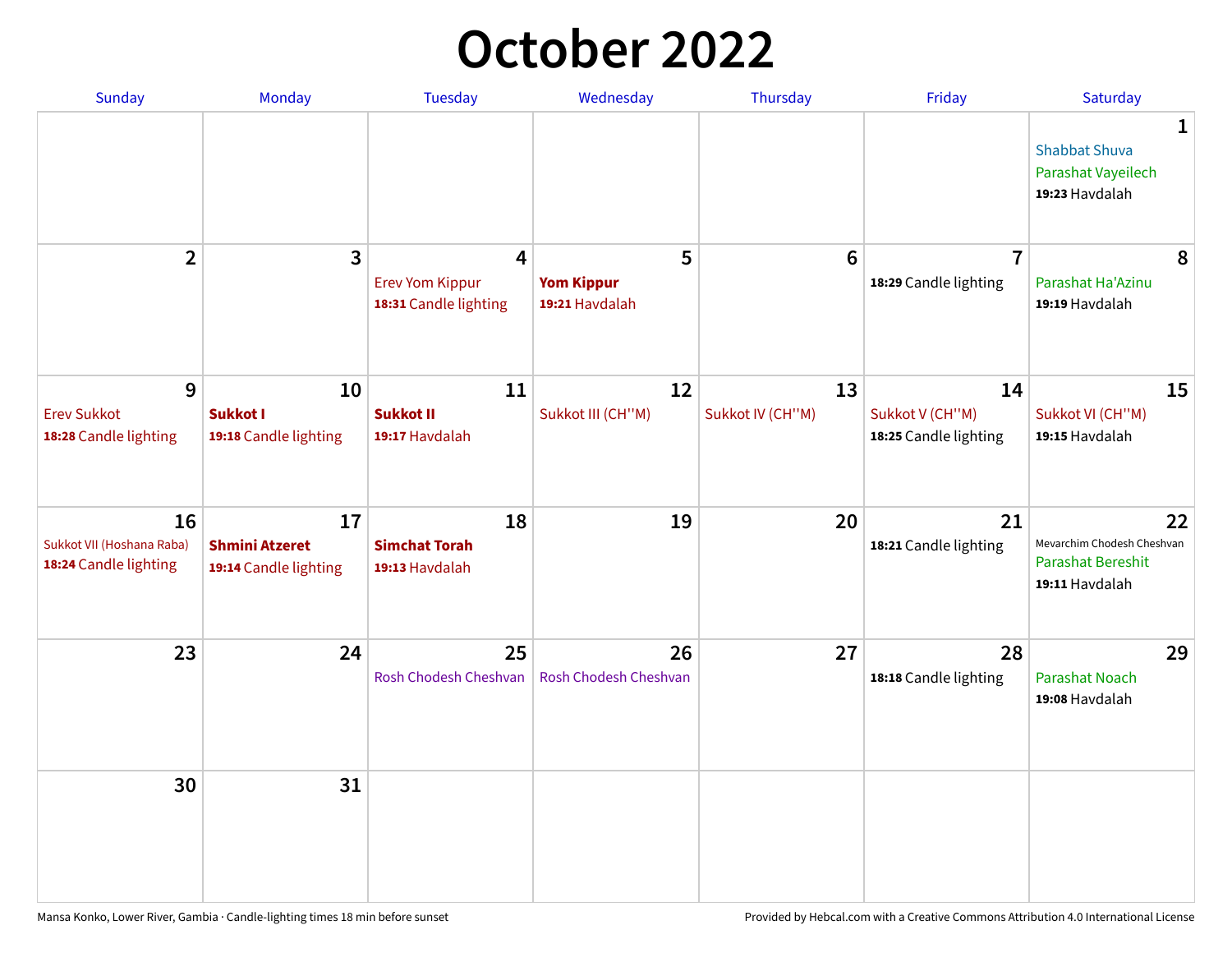## **October 2022**

| Sunday                                                   | Monday                                               | <b>Tuesday</b>                                       | Wednesday                                | Thursday               | Friday                                         | Saturday                                                                       |
|----------------------------------------------------------|------------------------------------------------------|------------------------------------------------------|------------------------------------------|------------------------|------------------------------------------------|--------------------------------------------------------------------------------|
|                                                          |                                                      |                                                      |                                          |                        |                                                | $\mathbf{1}$<br><b>Shabbat Shuva</b><br>Parashat Vayeilech<br>19:23 Havdalah   |
| $\overline{2}$                                           | 3                                                    | 4<br><b>Erev Yom Kippur</b><br>18:31 Candle lighting | 5<br><b>Yom Kippur</b><br>19:21 Havdalah | $6\phantom{1}6$        | $\overline{7}$<br>18:29 Candle lighting        | 8<br>Parashat Ha'Azinu<br>19:19 Havdalah                                       |
| 9<br><b>Erev Sukkot</b><br>18:28 Candle lighting         | 10<br><b>Sukkot I</b><br>19:18 Candle lighting       | 11<br><b>Sukkot II</b><br>19:17 Havdalah             | 12<br>Sukkot III (CH"M)                  | 13<br>Sukkot IV (CH"M) | 14<br>Sukkot V (CH"M)<br>18:25 Candle lighting | 15<br>Sukkot VI (CH"M)<br>19:15 Havdalah                                       |
| 16<br>Sukkot VII (Hoshana Raba)<br>18:24 Candle lighting | 17<br><b>Shmini Atzeret</b><br>19:14 Candle lighting | 18<br><b>Simchat Torah</b><br>19:13 Havdalah         | 19                                       | 20                     | 21<br>18:21 Candle lighting                    | 22<br>Mevarchim Chodesh Cheshvan<br><b>Parashat Bereshit</b><br>19:11 Havdalah |
| 23                                                       | 24                                                   | 25<br>Rosh Chodesh Cheshvan                          | 26<br>Rosh Chodesh Cheshvan              | 27                     | 28<br>18:18 Candle lighting                    | 29<br><b>Parashat Noach</b><br>19:08 Havdalah                                  |
| 30                                                       | 31                                                   |                                                      |                                          |                        |                                                |                                                                                |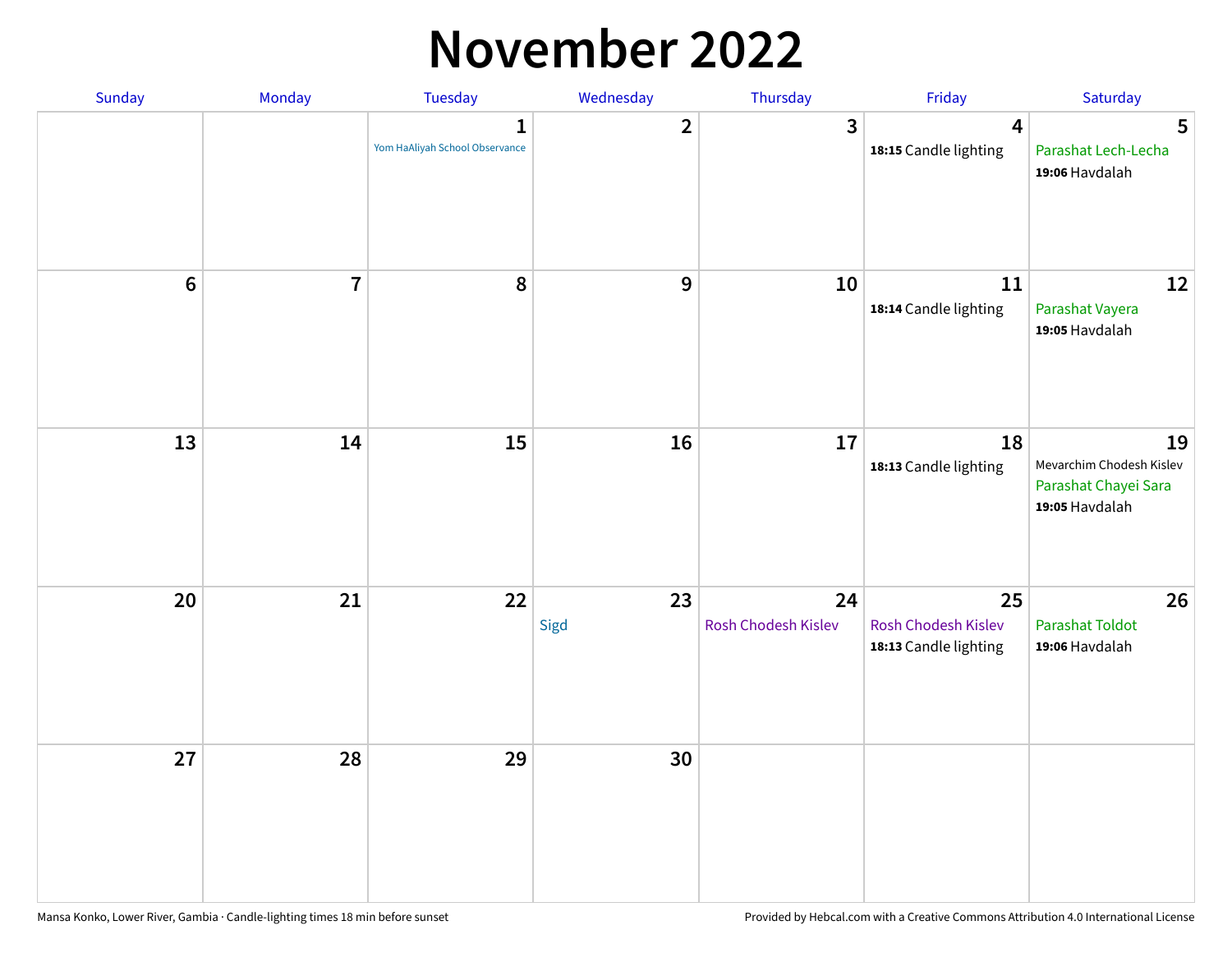### **November 2022**

| Sunday  | Monday                  | <b>Tuesday</b>                                 | Wednesday               | Thursday                  | Friday                                             | Saturday                                                                 |
|---------|-------------------------|------------------------------------------------|-------------------------|---------------------------|----------------------------------------------------|--------------------------------------------------------------------------|
|         |                         | $\mathbf{1}$<br>Yom HaAliyah School Observance | $\overline{\mathbf{2}}$ | 3                         | $\overline{\mathbf{4}}$<br>18:15 Candle lighting   | 5<br>Parashat Lech-Lecha<br>19:06 Havdalah                               |
| $\bf 6$ | $\overline{\mathbf{7}}$ | 8                                              | 9                       | 10                        | 11<br>18:14 Candle lighting                        | 12<br>Parashat Vayera<br>19:05 Havdalah                                  |
| 13      | 14                      | 15                                             | 16                      | 17                        | 18<br>18:13 Candle lighting                        | 19<br>Mevarchim Chodesh Kislev<br>Parashat Chayei Sara<br>19:05 Havdalah |
| 20      | 21                      | 22                                             | 23<br>Sigd              | 24<br>Rosh Chodesh Kislev | 25<br>Rosh Chodesh Kislev<br>18:13 Candle lighting | 26<br><b>Parashat Toldot</b><br>19:06 Havdalah                           |
| 27      | 28                      | 29                                             | 30                      |                           |                                                    |                                                                          |